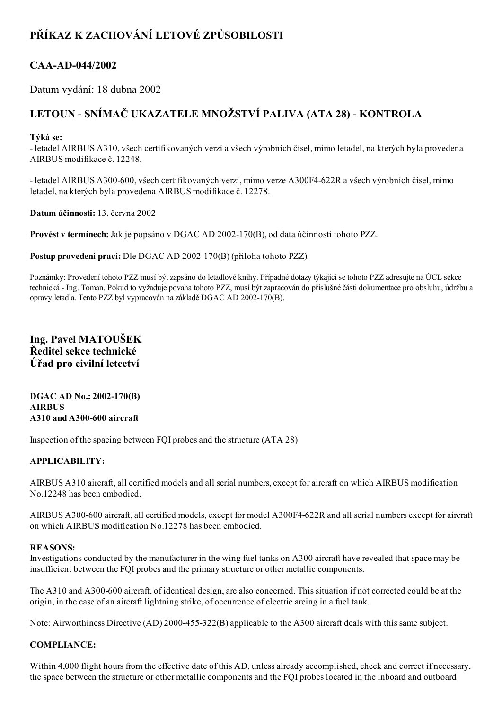# PŘÍKAZ K ZACHOVÁNÍ LETOVÉ ZPŮSOBILOSTI

# CAA-AD-044/2002

Datum vydání: 18 dubna 2002

# LETOUN - SNÍMAČ UKAZATELE MNOŽSTVÍ PALIVA (ATA 28) - KONTROLA

### Týká se:

 letadel AIRBUS A310, všech certifikovaných verzí a všech výrobních čísel, mimo letadel, na kterých byla provedena AIRBUS modifikace č. 12248,

 letadel AIRBUS A300600, všech certifikovaných verzí, mimo verze A300F4622R a všech výrobních čísel, mimo letadel, na kterých byla provedena AIRBUS modifikace č. 12278.

Datum účinnosti: 13. června 2002

Provést v termínech: Jak je popsáno v DGAC AD 2002-170(B), od data účinnosti tohoto PZZ.

Postup provedení prací: Dle DGAC AD 2002-170(B) (příloha tohoto PZZ).

Poznámky: Provedení tohoto PZZ musí být zapsáno do letadlové knihy. Případné dotazy týkající se tohoto PZZ adresujte na ÚCL sekce technická Ing. Toman. Pokud to vyžaduje povaha tohoto PZZ, musí být zapracován do příslušné části dokumentace pro obsluhu, údržbu a opravy letadla. Tento PZZ byl vypracován na základě DGAC AD 2002-170(B).

# Ing. Pavel MATOUŠEK Ředitel sekce technické Úřad pro civilní letectví

#### DGAC AD No.: 2002-170(B) AIRBUS A310 and A300-600 aircraft

Inspection of the spacing between FQI probes and the structure (ATA 28)

## APPLICABILITY:

AIRBUS A310 aircraft, all certified models and all serial numbers, except for aircraft on which AIRBUS modification No.12248 has been embodied.

AIRBUS A300-600 aircraft, all certified models, except for model A300F4-622R and all serial numbers except for aircraft on which AIRBUS modification No.12278 has been embodied.

#### REASONS:

Investigations conducted by the manufacturer in the wing fuel tanks on A300 aircraft have revealed that space may be insufficient between the FQI probes and the primary structure or other metallic components.

The A310 and A300-600 aircraft, of identical design, are also concerned. This situation if not corrected could be at the origin, in the case of an aircraft lightning strike, of occurrence of electric arcing in a fuel tank.

Note: Airworthiness Directive (AD) 2000-455-322(B) applicable to the A300 aircraft deals with this same subject.

## COMPLIANCE:

Within 4,000 flight hours from the effective date of this AD, unless already accomplished, check and correct if necessary, the space between the structure or other metallic components and the FQI probes located in the inboard and outboard